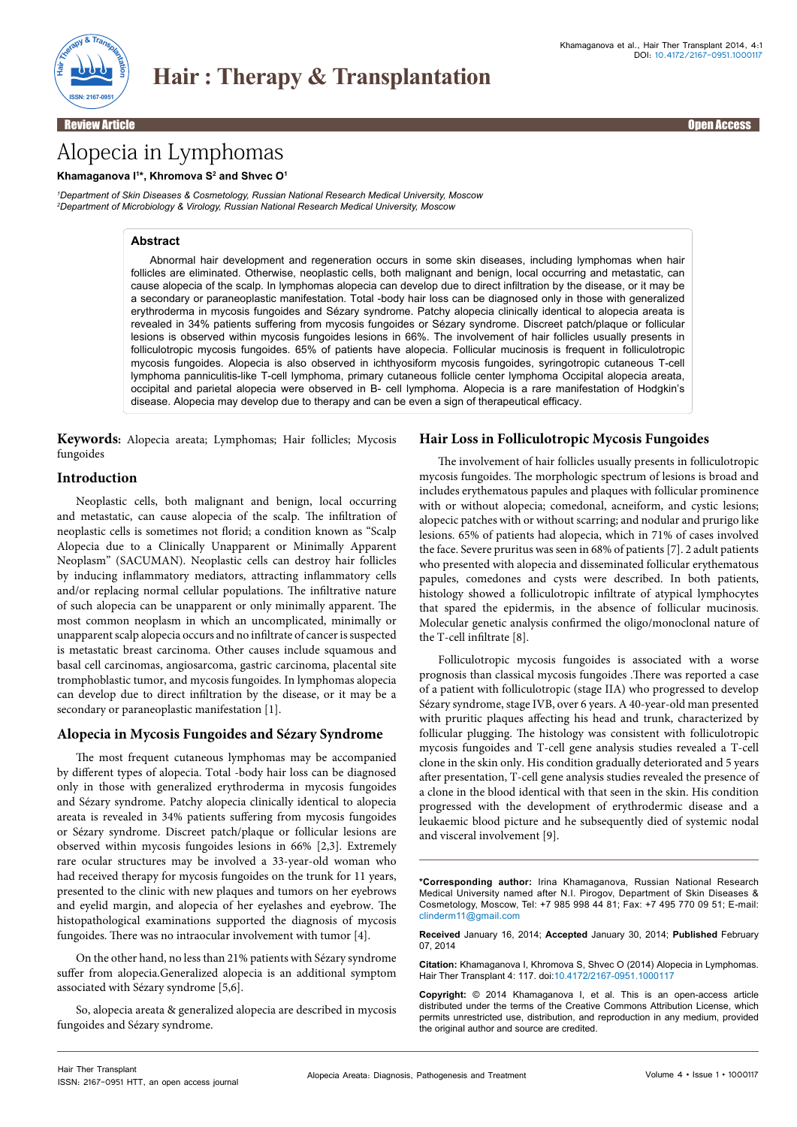

Review Article Open Access

# Alopecia in Lymphomas

#### **Khamaganova I1 \*, Khromova S2 and Shvec O1**

*1 Department of Skin Diseases & Cosmetology, Russian National Research Medical University, Moscow 2 Department of Microbiology & Virology, Russian National Research Medical University, Moscow*

# **Abstract**

Abnormal hair development and regeneration occurs in some skin diseases, including lymphomas when hair follicles are eliminated. Otherwise, neoplastic cells, both malignant and benign, local occurring and metastatic, can cause alopecia of the scalp. In lymphomas alopecia can develop due to direct infiltration by the disease, or it may be a secondary or paraneoplastic manifestation. Total -body hair loss can be diagnosed only in those with generalized erythroderma in mycosis fungoides and Sézary syndrome. Patchy alopecia clinically identical to alopecia areata is revealed in 34% patients suffering from mycosis fungoides or Sézary syndrome. Discreet patch/plaque or follicular lesions is observed within mycosis fungoides lesions in 66%. The involvement of hair follicles usually presents in folliculotropic mycosis fungoides. 65% of patients have alopecia. Follicular mucinosis is frequent in folliculotropic mycosis fungoides. Alopecia is also observed in ichthyosiform mycosis fungoides, syringotropic cutaneous T-cell lymphoma panniculitis-like T-cell lymphoma, primary cutaneous follicle center lymphoma Occipital alopecia areata, occipital and parietal alopecia were observed in B- cell lymphoma. Alopecia is a rare manifestation of Hodgkin's disease. Alopecia may develop due to therapy and can be even a sign of therapeutical efficacy.

**Keywords:** Alopecia areata; Lymphomas; Hair follicles; Mycosis fungoides

# **Introduction**

Neoplastic cells, both malignant and benign, local occurring and metastatic, can cause alopecia of the scalp. The infiltration of neoplastic cells is sometimes not florid; a condition known as "Scalp Alopecia due to a Clinically Unapparent or Minimally Apparent Neoplasm" (SACUMAN). Neoplastic cells can destroy hair follicles by inducing inflammatory mediators, attracting inflammatory cells and/or replacing normal cellular populations. The infiltrative nature of such alopecia can be unapparent or only minimally apparent. The most common neoplasm in which an uncomplicated, minimally or unapparent scalp alopecia occurs and no infiltrate of cancer is suspected is metastatic breast carcinoma. Other causes include squamous and basal cell carcinomas, angiosarcoma, gastric carcinoma, placental site tromphoblastic tumor, and mycosis fungoides. In lymphomas alopecia can develop due to direct infiltration by the disease, or it may be a secondary or paraneoplastic manifestation [1].

# **Alopecia in Mycosis Fungoides and Sézary Syndrome**

The most frequent cutaneous lymphomas may be accompanied by different types of alopecia. Total -body hair loss can be diagnosed only in those with generalized erythroderma in mycosis fungoides and Sézary syndrome. Patchy alopecia clinically identical to alopecia areata is revealed in 34% patients suffering from mycosis fungoides or Sézary syndrome. Discreet patch/plaque or follicular lesions are observed within mycosis fungoides lesions in 66% [2,3]. Extremely rare ocular structures may be involved a 33-year-old woman who had received therapy for mycosis fungoides on the trunk for 11 years, presented to the clinic with new plaques and tumors on her eyebrows and eyelid margin, and alopecia of her eyelashes and eyebrow. The histopathological examinations supported the diagnosis of mycosis fungoides. There was no intraocular involvement with tumor [4].

On the other hand, no less than 21% patients with Sézary syndrome suffer from alopecia.Generalized alopecia is an additional symptom associated with Sézary syndrome [5,6].

So, alopecia areata & generalized alopecia are described in mycosis fungoides and Sézary syndrome.

### **Hair Loss in Folliculotropic Mycosis Fungoides**

The involvement of hair follicles usually presents in folliculotropic mycosis fungoides. The morphologic spectrum of lesions is broad and includes erythematous papules and plaques with follicular prominence with or without alopecia; comedonal, acneiform, and cystic lesions; alopecic patches with or without scarring; and nodular and prurigo like lesions. 65% of patients had alopecia, which in 71% of cases involved the face. Severe pruritus was seen in 68% of patients [7]. 2 adult patients who presented with alopecia and disseminated follicular erythematous papules, comedones and cysts were described. In both patients, histology showed a folliculotropic infiltrate of atypical lymphocytes that spared the epidermis, in the absence of follicular mucinosis. Molecular genetic analysis confirmed the oligo/monoclonal nature of the T-cell infiltrate [8].

Folliculotropic mycosis fungoides is associated with a worse prognosis than classical mycosis fungoides .There was reported a case of a patient with folliculotropic (stage IIA) who progressed to develop Sézary syndrome, stage IVB, over 6 years. A 40-year-old man presented with pruritic plaques affecting his head and trunk, characterized by follicular plugging. The histology was consistent with folliculotropic mycosis fungoides and T-cell gene analysis studies revealed a T-cell clone in the skin only. His condition gradually deteriorated and 5 years after presentation, T-cell gene analysis studies revealed the presence of a clone in the blood identical with that seen in the skin. His condition progressed with the development of erythrodermic disease and a leukaemic blood picture and he subsequently died of systemic nodal and visceral involvement [9].

**Received** January 16, 2014; **Accepted** January 30, 2014; **Published** February 07, 2014

**Citation:** Khamaganova I, Khromova S, Shvec O (2014) Alopecia in Lymphomas. Hair Ther Transplant 4: 117. doi:10.4172/2167-0951.1000117

**Copyright:** © 2014 Khamaganova I, et al. This is an open-access article distributed under the terms of the Creative Commons Attribution License, which permits unrestricted use, distribution, and reproduction in any medium, provided the original author and source are credited.

**<sup>\*</sup>Corresponding author:** Irina Khamaganova, Russian National Research Medical University named after N.I. Pirogov, Department of Skin Diseases & Cosmetology, Moscow, Tel: +7 985 998 44 81; Fax: +7 495 770 09 51; E-mail: clinderm11@gmail.com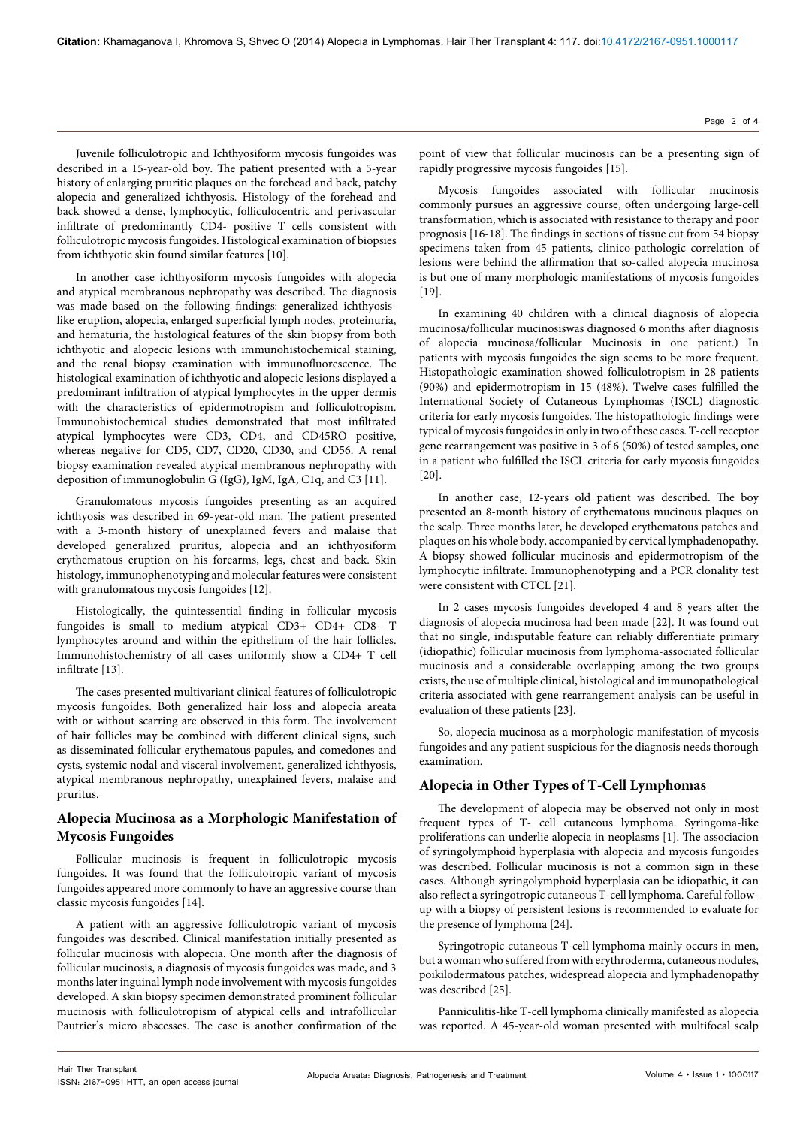Juvenile folliculotropic and Ichthyosiform mycosis fungoides was described in a 15-year-old boy. The patient presented with a 5-year history of enlarging pruritic plaques on the forehead and back, patchy alopecia and generalized ichthyosis. Histology of the forehead and back showed a dense, lymphocytic, folliculocentric and perivascular infiltrate of predominantly CD4- positive T cells consistent with folliculotropic mycosis fungoides. Histological examination of biopsies from ichthyotic skin found similar features [10].

In another case ichthyosiform mycosis fungoides with alopecia and atypical membranous nephropathy was described. The diagnosis was made based on the following findings: generalized ichthyosislike eruption, alopecia, enlarged superficial lymph nodes, proteinuria, and hematuria, the histological features of the skin biopsy from both ichthyotic and alopecic lesions with immunohistochemical staining, and the renal biopsy examination with immunofluorescence. The histological examination of ichthyotic and alopecic lesions displayed a predominant infiltration of atypical lymphocytes in the upper dermis with the characteristics of epidermotropism and folliculotropism. Immunohistochemical studies demonstrated that most infiltrated atypical lymphocytes were CD3, CD4, and CD45RO positive, whereas negative for CD5, CD7, CD20, CD30, and CD56. A renal biopsy examination revealed atypical membranous nephropathy with deposition of immunoglobulin G (IgG), IgM, IgA, C1q, and C3 [11].

Granulomatous mycosis fungoides presenting as an acquired ichthyosis was described in 69-year-old man. The patient presented with a 3-month history of unexplained fevers and malaise that developed generalized pruritus, alopecia and an ichthyosiform erythematous eruption on his forearms, legs, chest and back. Skin histology, immunophenotyping and molecular features were consistent with granulomatous mycosis fungoides [12].

Histologically, the quintessential finding in follicular mycosis fungoides is small to medium atypical CD3+ CD4+ CD8- T lymphocytes around and within the epithelium of the hair follicles. Immunohistochemistry of all cases uniformly show a CD4+ T cell infiltrate [13].

The cases presented multivariant clinical features of folliculotropic mycosis fungoides. Both generalized hair loss and alopecia areata with or without scarring are observed in this form. The involvement of hair follicles may be combined with different clinical signs, such as disseminated follicular erythematous papules, and comedones and cysts, systemic nodal and visceral involvement, generalized ichthyosis, atypical membranous nephropathy, unexplained fevers, malaise and pruritus.

# **Alopecia Mucinosa as a Morphologic Manifestation of Mycosis Fungoides**

Follicular mucinosis is frequent in folliculotropic mycosis fungoides. It was found that the folliculotropic variant of mycosis fungoides appeared more commonly to have an aggressive course than classic mycosis fungoides [14].

A patient with an aggressive folliculotropic variant of mycosis fungoides was described. Clinical manifestation initially presented as follicular mucinosis with alopecia. One month after the diagnosis of follicular mucinosis, a diagnosis of mycosis fungoides was made, and 3 months later inguinal lymph node involvement with mycosis fungoides developed. A skin biopsy specimen demonstrated prominent follicular mucinosis with folliculotropism of atypical cells and intrafollicular Pautrier's micro abscesses. The case is another confirmation of the

point of view that follicular mucinosis can be a presenting sign of rapidly progressive mycosis fungoides [15].

Mycosis fungoides associated with follicular mucinosis commonly pursues an aggressive course, often undergoing large-cell transformation, which is associated with resistance to therapy and poor prognosis [16-18]. The findings in sections of tissue cut from 54 biopsy specimens taken from 45 patients, clinico-pathologic correlation of lesions were behind the affirmation that so-called alopecia mucinosa is but one of many morphologic manifestations of mycosis fungoides  $[19]$ .

In examining 40 children with a clinical diagnosis of alopecia mucinosa/follicular mucinosiswas diagnosed 6 months after diagnosis of alopecia mucinosa/follicular Mucinosis in one patient.) In patients with mycosis fungoides the sign seems to be more frequent. Histopathologic examination showed folliculotropism in 28 patients (90%) and epidermotropism in 15 (48%). Twelve cases fulfilled the International Society of Cutaneous Lymphomas (ISCL) diagnostic criteria for early mycosis fungoides. The histopathologic findings were typical of mycosis fungoides in only in two of these cases. T-cell receptor gene rearrangement was positive in 3 of 6 (50%) of tested samples, one in a patient who fulfilled the ISCL criteria for early mycosis fungoides [20].

In another case, 12-years old patient was described. The boy presented an 8-month history of erythematous mucinous plaques on the scalp. Three months later, he developed erythematous patches and plaques on his whole body, accompanied by cervical lymphadenopathy. A biopsy showed follicular mucinosis and epidermotropism of the lymphocytic infiltrate. Immunophenotyping and a PCR clonality test were consistent with CTCL [21].

In 2 cases mycosis fungoides developed 4 and 8 years after the diagnosis of alopecia mucinosa had been made [22]. It was found out that no single, indisputable feature can reliably differentiate primary (idiopathic) follicular mucinosis from lymphoma-associated follicular mucinosis and a considerable overlapping among the two groups exists, the use of multiple clinical, histological and immunopathological criteria associated with gene rearrangement analysis can be useful in evaluation of these patients [23].

So, alopecia mucinosa as a morphologic manifestation of mycosis fungoides and any patient suspicious for the diagnosis needs thorough examination.

# **Alopecia in Other Types of T-Cell Lymphomas**

The development of alopecia may be observed not only in most frequent types of T- cell cutaneous lymphoma. Syringoma-like proliferations can underlie alopecia in neoplasms [1]. The associacion of syringolymphoid hyperplasia with alopecia and mycosis fungoides was described. Follicular mucinosis is not a common sign in these cases. Although syringolymphoid hyperplasia can be idiopathic, it can also reflect a syringotropic cutaneous T-cell lymphoma. Careful followup with a biopsy of persistent lesions is recommended to evaluate for the presence of lymphoma [24].

Syringotropic cutaneous T-cell lymphoma mainly occurs in men, but a woman who suffered from with erythroderma, cutaneous nodules, poikilodermatous patches, widespread alopecia and lymphadenopathy was described [25].

Panniculitis-like T-cell lymphoma clinically manifested as alopecia was reported. A 45-year-old woman presented with multifocal scalp

Page 2 of 4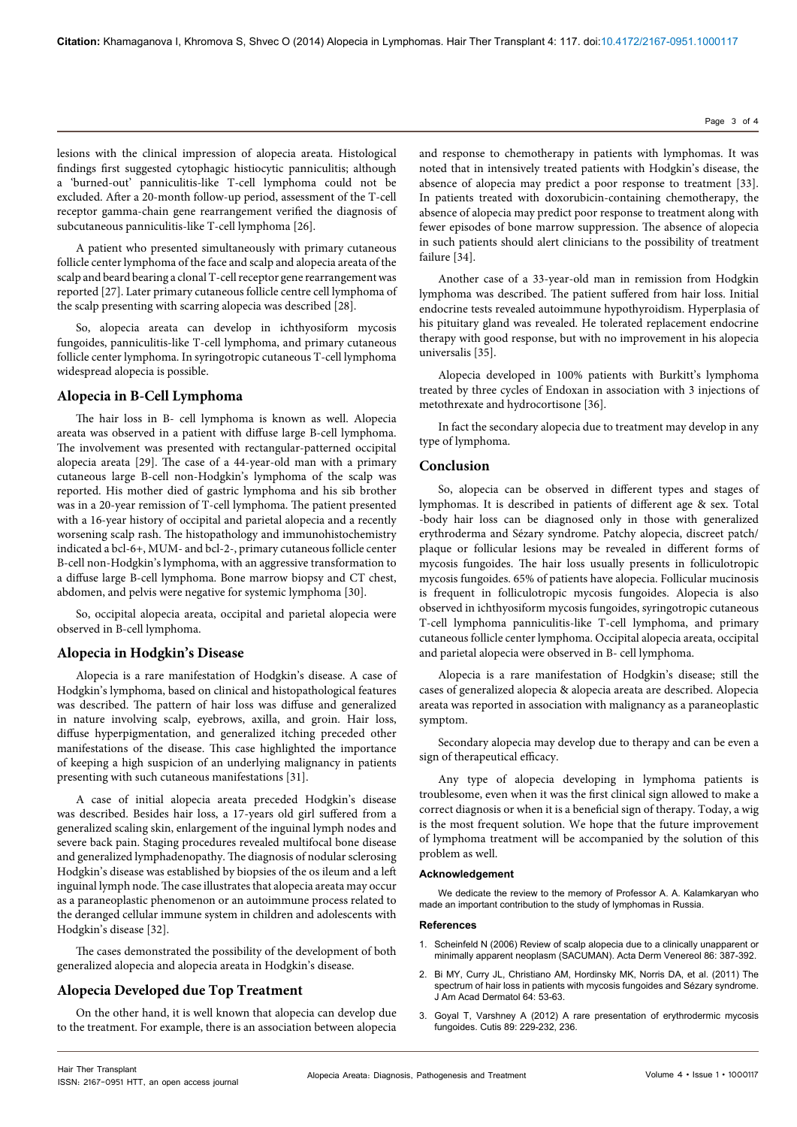lesions with the clinical impression of alopecia areata. Histological findings first suggested cytophagic histiocytic panniculitis; although a 'burned-out' panniculitis-like T-cell lymphoma could not be excluded. After a 20-month follow-up period, assessment of the T-cell receptor gamma-chain gene rearrangement verified the diagnosis of subcutaneous panniculitis-like T-cell lymphoma [26].

A patient who presented simultaneously with primary cutaneous follicle center lymphoma of the face and scalp and alopecia areata of the scalp and beard bearing a clonal T-cell receptor gene rearrangement was reported [27]. Later primary cutaneous follicle centre cell lymphoma of the scalp presenting with scarring alopecia was described [28].

So, alopecia areata can develop in ichthyosiform mycosis fungoides, panniculitis-like T-cell lymphoma, and primary cutaneous follicle center lymphoma. In syringotropic cutaneous T-cell lymphoma widespread alopecia is possible.

#### **Alopecia in B-Cell Lymphoma**

The hair loss in B- cell lymphoma is known as well. Alopecia areata was observed in a patient with diffuse large B-cell lymphoma. The involvement was presented with rectangular-patterned occipital alopecia areata [29]. The case of a 44-year-old man with a primary cutaneous large B-cell non-Hodgkin's lymphoma of the scalp was reported. His mother died of gastric lymphoma and his sib brother was in a 20-year remission of T-cell lymphoma. The patient presented with a 16-year history of occipital and parietal alopecia and a recently worsening scalp rash. The histopathology and immunohistochemistry indicated a bcl-6+, MUM- and bcl-2-, primary cutaneous follicle center B-cell non-Hodgkin's lymphoma, with an aggressive transformation to a diffuse large B-cell lymphoma. Bone marrow biopsy and CT chest, abdomen, and pelvis were negative for systemic lymphoma [30].

So, occipital alopecia areata, occipital and parietal alopecia were observed in B-cell lymphoma.

#### **Alopecia in Hodgkin's Disease**

Alopecia is a rare manifestation of Hodgkin's disease. A case of Hodgkin's lymphoma, based on clinical and histopathological features was described. The pattern of hair loss was diffuse and generalized in nature involving scalp, eyebrows, axilla, and groin. Hair loss, diffuse hyperpigmentation, and generalized itching preceded other manifestations of the disease. This case highlighted the importance of keeping a high suspicion of an underlying malignancy in patients presenting with such cutaneous manifestations [31].

A case of initial alopecia areata preceded Hodgkin's disease was described. Besides hair loss, a 17-years old girl suffered from a generalized scaling skin, enlargement of the inguinal lymph nodes and severe back pain. Staging procedures revealed multifocal bone disease and generalized lymphadenopathy. The diagnosis of nodular sclerosing Hodgkin's disease was established by biopsies of the os ileum and a left inguinal lymph node. The case illustrates that alopecia areata may occur as a paraneoplastic phenomenon or an autoimmune process related to the deranged cellular immune system in children and adolescents with Hodgkin's disease [32].

The cases demonstrated the possibility of the development of both generalized alopecia and alopecia areata in Hodgkin's disease.

### **Alopecia Developed due Top Treatment**

On the other hand, it is well known that alopecia can develop due to the treatment. For example, there is an association between alopecia and response to chemotherapy in patients with lymphomas. It was noted that in intensively treated patients with Hodgkin's disease, the absence of alopecia may predict a poor response to treatment [33]. In patients treated with doxorubicin-containing chemotherapy, the absence of alopecia may predict poor response to treatment along with fewer episodes of bone marrow suppression. The absence of alopecia in such patients should alert clinicians to the possibility of treatment failure [34].

Another case of a 33-year-old man in remission from Hodgkin lymphoma was described. The patient suffered from hair loss. Initial endocrine tests revealed autoimmune hypothyroidism. Hyperplasia of his pituitary gland was revealed. He tolerated replacement endocrine therapy with good response, but with no improvement in his alopecia universalis [35].

Alopecia developed in 100% patients with Burkitt's lymphoma treated by three cycles of Endoxan in association with 3 injections of metothrexate and hydrocortisone [36].

In fact the secondary alopecia due to treatment may develop in any type of lymphoma.

#### **Conclusion**

So, alopecia can be observed in different types and stages of lymphomas. It is described in patients of different age & sex. Total -body hair loss can be diagnosed only in those with generalized erythroderma and Sézary syndrome. Patchy alopecia, discreet patch/ plaque or follicular lesions may be revealed in different forms of mycosis fungoides. The hair loss usually presents in folliculotropic mycosis fungoides. 65% of patients have alopecia. Follicular mucinosis is frequent in folliculotropic mycosis fungoides. Alopecia is also observed in ichthyosiform mycosis fungoides, syringotropic cutaneous T-cell lymphoma panniculitis-like T-cell lymphoma, and primary cutaneous follicle center lymphoma. Occipital alopecia areata, occipital and parietal alopecia were observed in B- cell lymphoma.

Alopecia is a rare manifestation of Hodgkin's disease; still the cases of generalized alopecia & alopecia areata are described. Alopecia areata was reported in association with malignancy as a paraneoplastic symptom.

Secondary alopecia may develop due to therapy and can be even a sign of therapeutical efficacy.

Any type of alopecia developing in lymphoma patients is troublesome, even when it was the first clinical sign allowed to make a correct diagnosis or when it is a beneficial sign of therapy. Today, a wig is the most frequent solution. We hope that the future improvement of lymphoma treatment will be accompanied by the solution of this problem as well.

#### **Acknowledgement**

We dedicate the review to the memory of Professor A. A. Kalamkaryan who made an important contribution to the study of lymphomas in Russia.

#### **References**

- 1. [Scheinfeld N \(2006\) Review of scalp alopecia due to a clinically unapparent or](http://www.ncbi.nlm.nih.gov/pubmed/16983449)  [minimally apparent neoplasm \(SACUMAN\). Acta Derm Venereol 86: 387-392.](http://www.ncbi.nlm.nih.gov/pubmed/16983449)
- Bi MY, Curry JL, Christiano AM, Hordinsky MK, Norris DA, et al. (2011) The [spectrum of hair loss in patients with mycosis fungoides and Sézary syndrome.](http://www.ncbi.nlm.nih.gov/pubmed/21036417)  [J Am Acad Dermatol 64: 53-63.](http://www.ncbi.nlm.nih.gov/pubmed/21036417)
- 3. [Goyal T, Varshney A \(2012\) A rare presentation of erythrodermic mycosis](http://www.ncbi.nlm.nih.gov/pubmed/22768436)  [fungoides. Cutis 89: 229-232, 236.](http://www.ncbi.nlm.nih.gov/pubmed/22768436)